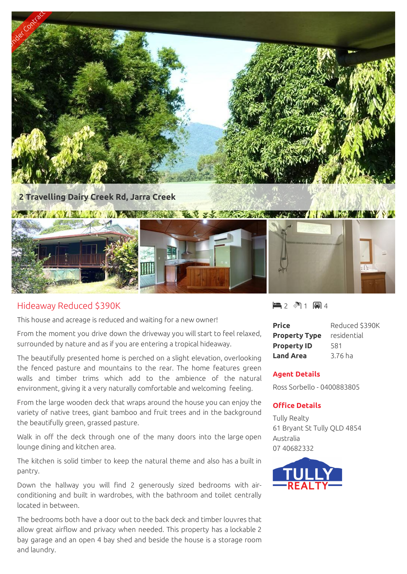

## Hideaway Reduced \$390K

This house and acreage is reduced and waiting for a new owner!

From the moment you drive down the driveway you will start to feel relaxed, surrounded by nature and as if you are entering a tropical hideaway.

The beautifully presented home is perched on a slight elevation, overlooking the fenced pasture and mountains to the rear. The home features green walls and timber trims which add to the ambience of the natural environment, giving it a very naturally comfortable and welcoming feeling.

From the large wooden deck that wraps around the house you can enjoy the variety of native trees, giant bamboo and fruit trees and in the background the beautifully green, grassed pasture.

Walk in off the deck through one of the many doors into the large open lounge dining and kitchen area.

The kitchen is solid timber to keep the natural theme and also has a built in pantry.

Down the hallway you will find 2 generously sized bedrooms with airconditioning and built in wardrobes, with the bathroom and toilet centrally located in between.

The bedrooms both have a door out to the back deck and timber louvres that allow great airflow and privacy when needed. This property has a lockable 2 bay garage and an open 4 bay shed and beside the house is a storage room and laundry.

 $-2$   $\sqrt[3]{1}$   $-1$   $\sqrt[3]{4}$ 

| <b>Price</b>         | Reduced \$390K |
|----------------------|----------------|
| <b>Property Type</b> | residential    |
| <b>Property ID</b>   | 581            |
| <b>Land Area</b>     | 3.76 ha        |

## **Agent Details**

Ross Sorbello - 0400883805

## **Office Details**

Tully Realty 61 Bryant St Tully QLD 4854 Australia 07 40682332